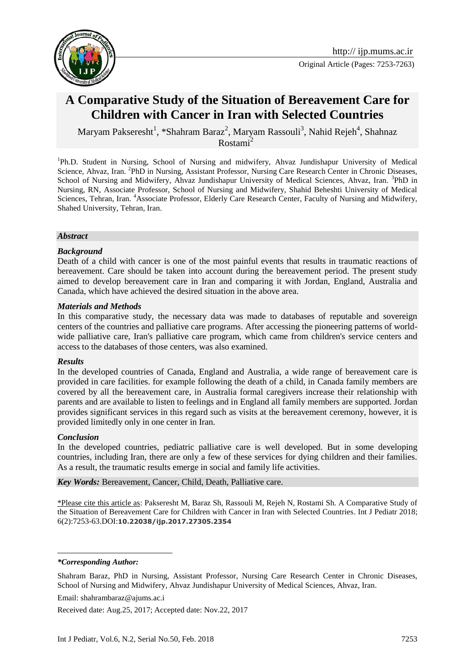

# **A Comparative Study of the Situation of Bereavement Care for Children with Cancer in Iran with Selected Countries**

Maryam Pakseresht<sup>1</sup>, \*Shahram Baraz<sup>2</sup>, Maryam Rassouli<sup>3</sup>, Nahid Rejeh<sup>4</sup>, Shahnaz  $Rostami<sup>2</sup>$ 

<sup>1</sup>Ph.D. Student in Nursing, School of Nursing and midwifery, Ahvaz Jundishapur University of Medical Science, Ahvaz, Iran. <sup>2</sup>PhD in Nursing, Assistant Professor, Nursing Care Research Center in Chronic Diseases, School of Nursing and Midwifery, Ahvaz Jundishapur University of Medical Sciences, Ahvaz, Iran. <sup>3</sup>PhD in Nursing, RN, Associate Professor, School of Nursing and Midwifery, Shahid Beheshti University of Medical Sciences, Tehran, Iran. <sup>4</sup>Associate Professor, Elderly Care Research Center, Faculty of Nursing and Midwifery, Shahed University, Tehran, Iran.

#### *Abstract*

#### *Background*

Death of a child with cancer is one of the most painful events that results in traumatic reactions of bereavement. Care should be taken into account during the bereavement period. The present study aimed to develop bereavement care in Iran and comparing it with Jordan, England, Australia and Canada, which have achieved the desired situation in the above area.

#### *Materials and Methods*

In this comparative study, the necessary data was made to databases of reputable and sovereign centers of the countries and palliative care programs. After accessing the pioneering patterns of worldwide palliative care, Iran's palliative care program, which came from children's service centers and access to the databases of those centers, was also examined.

#### *Results*

In the developed countries of Canada, England and Australia, a wide range of bereavement care is provided in care facilities. for example following the death of a child, in Canada family members are covered by all the bereavement care, in Australia formal caregivers increase their relationship with parents and are available to listen to feelings and in England all family members are supported. Jordan provides significant services in this regard such as visits at the bereavement ceremony, however, it is provided limitedly only in one center in Iran.

#### *Conclusion*

In the developed countries, pediatric palliative care is well developed. But in some developing countries, including Iran, there are only a few of these services for dying children and their families. As a result, the traumatic results emerge in social and family life activities.

*Key Words:* Bereavement, Cancer, Child, Death, Palliative care.

\*Please cite this article as: Pakseresht M, Baraz Sh, Rassouli M, Rejeh N, Rostami Sh. A Comparative Study of the Situation of Bereavement Care for Children with Cancer in Iran with Selected Countries. Int J Pediatr 2018; 6(2):7253-63.DOI:**10.22038/ijp.2017.27305.2354**

#### *\*Corresponding Author:*

1

Shahram Baraz, PhD in Nursing, Assistant Professor, Nursing Care Research Center in Chronic Diseases, School of Nursing and Midwifery, Ahvaz Jundishapur University of Medical Sciences, Ahvaz, Iran.

Email: shahrambaraz@ajums.ac.i

Received date: Aug.25, 2017; Accepted date: Nov.22, 2017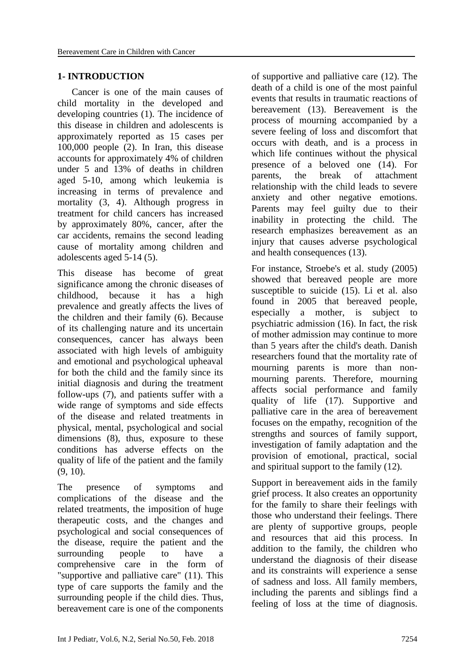### **1- INTRODUCTION**

 Cancer is one of the main causes of child mortality in the developed and developing countries (1). The incidence of this disease in children and adolescents is approximately reported as 15 cases per 100,000 people (2). In Iran, this disease accounts for approximately 4% of children under 5 and 13% of deaths in children aged 5-10, among which leukemia is increasing in terms of prevalence and mortality (3, 4). Although progress in treatment for child cancers has increased by approximately 80%, cancer, after the car accidents, remains the second leading cause of mortality among children and adolescents aged 5-14 (5).

This disease has become of great significance among the chronic diseases of childhood, because it has a high prevalence and greatly affects the lives of the children and their family (6). Because of its challenging nature and its uncertain consequences, cancer has always been associated with high levels of ambiguity and emotional and psychological upheaval for both the child and the family since its initial diagnosis and during the treatment follow-ups (7), and patients suffer with a wide range of symptoms and side effects of the disease and related treatments in physical, mental, psychological and social dimensions (8), thus, exposure to these conditions has adverse effects on the quality of life of the patient and the family (9, 10).

The presence of symptoms and complications of the disease and the related treatments, the imposition of huge therapeutic costs, and the changes and psychological and social consequences of the disease, require the patient and the surrounding people to have a comprehensive care in the form of "supportive and palliative care" (11). This type of care supports the family and the surrounding people if the child dies. Thus, bereavement care is one of the components

of supportive and palliative care (12). The death of a child is one of the most painful events that results in traumatic reactions of bereavement (13). Bereavement is the process of mourning accompanied by a severe feeling of loss and discomfort that occurs with death, and is a process in which life continues without the physical presence of a beloved one (14). For parents, the break of attachment relationship with the child leads to severe anxiety and other negative emotions. Parents may feel guilty due to their inability in protecting the child. The research emphasizes bereavement as an injury that causes adverse psychological and health consequences (13).

For instance, Stroebe's et al. study (2005) showed that bereaved people are more susceptible to suicide (15). Li et al. also found in 2005 that bereaved people, especially a mother, is subject to psychiatric admission (16). In fact, the risk of mother admission may continue to more than 5 years after the child's death. Danish researchers found that the mortality rate of mourning parents is more than nonmourning parents. Therefore, mourning affects social performance and family quality of life (17). Supportive and palliative care in the area of bereavement focuses on the empathy, recognition of the strengths and sources of family support, investigation of family adaptation and the provision of emotional, practical, social and spiritual support to the family (12).

Support in bereavement aids in the family grief process. It also creates an opportunity for the family to share their feelings with those who understand their feelings. There are plenty of supportive groups, people and resources that aid this process. In addition to the family, the children who understand the diagnosis of their disease and its constraints will experience a sense of sadness and loss. All family members, including the parents and siblings find a feeling of loss at the time of diagnosis.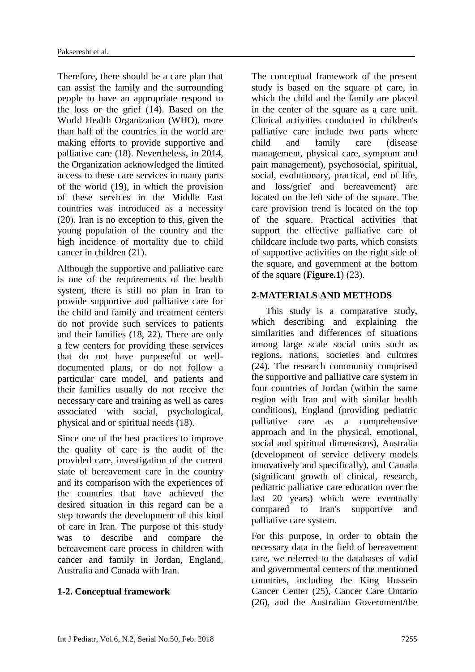Therefore, there should be a care plan that can assist the family and the surrounding people to have an appropriate respond to the loss or the grief (14). Based on the World Health Organization (WHO), more than half of the countries in the world are making efforts to provide supportive and palliative care (18). Nevertheless, in 2014, the Organization acknowledged the limited access to these care services in many parts of the world (19), in which the provision of these services in the Middle East countries was introduced as a necessity (20). Iran is no exception to this, given the young population of the country and the high incidence of mortality due to child cancer in children (21).

Although the supportive and palliative care is one of the requirements of the health system, there is still no plan in Iran to provide supportive and palliative care for the child and family and treatment centers do not provide such services to patients and their families (18, 22). There are only a few centers for providing these services that do not have purposeful or welldocumented plans, or do not follow a particular care model, and patients and their families usually do not receive the necessary care and training as well as cares associated with social, psychological, physical and or spiritual needs (18).

Since one of the best practices to improve the quality of care is the audit of the provided care, investigation of the current state of bereavement care in the country and its comparison with the experiences of the countries that have achieved the desired situation in this regard can be a step towards the development of this kind of care in Iran. The purpose of this study was to describe and compare the bereavement care process in children with cancer and family in Jordan, England, Australia and Canada with Iran.

### **1-2. Conceptual framework**

The conceptual framework of the present study is based on the square of care, in which the child and the family are placed in the center of the square as a care unit. Clinical activities conducted in children's palliative care include two parts where child and family care (disease management, physical care, symptom and pain management), psychosocial, spiritual, social, evolutionary, practical, end of life, and loss/grief and bereavement) are located on the left side of the square. The care provision trend is located on the top of the square. Practical activities that support the effective palliative care of childcare include two parts, which consists of supportive activities on the right side of the square, and government at the bottom of the square (**Figure.1**) (23).

### **2-MATERIALS AND METHODS**

 This study is a comparative study, which describing and explaining the similarities and differences of situations among large scale social units such as regions, nations, societies and cultures (24). The research community comprised the supportive and palliative care system in four countries of Jordan (within the same region with Iran and with similar health conditions), England (providing pediatric palliative care as a comprehensive approach and in the physical, emotional, social and spiritual dimensions), Australia (development of service delivery models innovatively and specifically), and Canada (significant growth of clinical, research, pediatric palliative care education over the last 20 years) which were eventually compared to Iran's supportive and palliative care system.

For this purpose, in order to obtain the necessary data in the field of bereavement care, we referred to the databases of valid and governmental centers of the mentioned countries, including the King Hussein Cancer Center (25), Cancer Care Ontario (26), and the Australian Government/the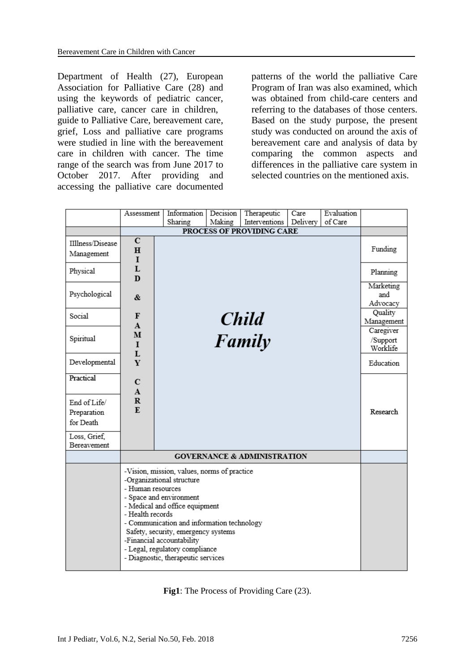Department of Health (27), European Association for Palliative Care (28) and using the keywords of pediatric cancer, palliative care, cancer care in children, guide to Palliative Care, bereavement care, grief, Loss and palliative care programs were studied in line with the bereavement care in children with cancer. The time range of the search was from June 2017 to October 2017. After providing and accessing the palliative care documented

patterns of the world the palliative Care Program of Iran was also examined, which was obtained from child-care centers and referring to the databases of those centers. Based on the study purpose, the present study was conducted on around the axis of bereavement care and analysis of data by comparing the common aspects and differences in the palliative care system in selected countries on the mentioned axis.

|                                                                                      | Assessment                                                                                                                                                                                                                                                                                                                                                               | Information  | Decision | Therapeutic   | Care     | Evaluation |                                   |
|--------------------------------------------------------------------------------------|--------------------------------------------------------------------------------------------------------------------------------------------------------------------------------------------------------------------------------------------------------------------------------------------------------------------------------------------------------------------------|--------------|----------|---------------|----------|------------|-----------------------------------|
|                                                                                      |                                                                                                                                                                                                                                                                                                                                                                          | Sharing      | Making   | Interventions | Delivery | of Care    |                                   |
|                                                                                      | PROCESS OF PROVIDING CARE                                                                                                                                                                                                                                                                                                                                                |              |          |               |          |            |                                   |
| IIllness/Disease<br>Management                                                       | $\overline{\mathbf{C}}$<br>$\mathbf H$<br>$\mathbf I$                                                                                                                                                                                                                                                                                                                    |              |          |               |          |            | Funding                           |
| Physical                                                                             | L<br>D                                                                                                                                                                                                                                                                                                                                                                   |              |          |               |          |            | Planning                          |
| Psychological                                                                        | &.                                                                                                                                                                                                                                                                                                                                                                       |              |          |               |          |            | Marketing<br>and<br>Advocacy      |
| Social                                                                               | F<br>$\mathbf{A}$                                                                                                                                                                                                                                                                                                                                                        | <b>Child</b> |          |               |          |            | Quality<br>Management             |
| Spiritual                                                                            | м<br>$\mathbf I$<br>L                                                                                                                                                                                                                                                                                                                                                    |              |          | Family        |          |            | Caregiver<br>/Support<br>Worklife |
| Developmental                                                                        | Y                                                                                                                                                                                                                                                                                                                                                                        |              |          |               |          |            | Education                         |
| Practical<br>End of Life/<br>Preparation<br>for Death<br>Loss, Grief,<br>Bereavement | $\mathbf C$<br>${\bf A}$<br>$\mathbf R$<br>$\mathbf{F}$                                                                                                                                                                                                                                                                                                                  |              |          |               |          |            | Research                          |
|                                                                                      | <b>GOVERNANCE &amp; ADMINISTRATION</b>                                                                                                                                                                                                                                                                                                                                   |              |          |               |          |            |                                   |
|                                                                                      | -Vision, mission, values, norms of practice<br>-Organizational structure<br>- Human resources<br>- Space and environment<br>- Medical and office equipment<br>- Health records<br>- Communication and information technology<br>Safety, security, emergency systems<br>-Financial accountability<br>- Legal, regulatory compliance<br>- Diagnostic, therapeutic services |              |          |               |          |            |                                   |

**Fig1**: The Process of Providing Care (23).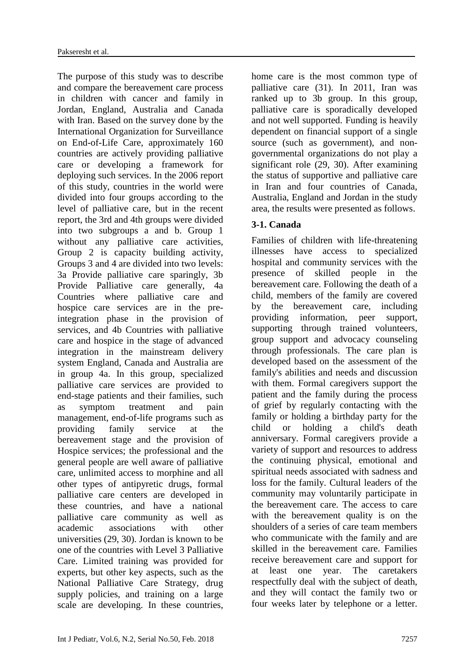The purpose of this study was to describe and compare the bereavement care process in children with cancer and family in Jordan, England, Australia and Canada with Iran. Based on the survey done by the International Organization for Surveillance on End-of-Life Care, approximately 160 countries are actively providing palliative care or developing a framework for deploying such services. In the 2006 report of this study, countries in the world were divided into four groups according to the level of palliative care, but in the recent report, the 3rd and 4th groups were divided into two subgroups a and b. Group 1 without any palliative care activities, Group 2 is capacity building activity, Groups 3 and 4 are divided into two levels: 3a Provide palliative care sparingly, 3b Provide Palliative care generally, 4a Countries where palliative care and hospice care services are in the preintegration phase in the provision of services, and 4b Countries with palliative care and hospice in the stage of advanced integration in the mainstream delivery system England, Canada and Australia are in group 4a. In this group, specialized palliative care services are provided to end-stage patients and their families, such as symptom treatment and pain management, end-of-life programs such as providing family service at the bereavement stage and the provision of Hospice services; the professional and the general people are well aware of palliative care, unlimited access to morphine and all other types of antipyretic drugs, formal palliative care centers are developed in these countries, and have a national palliative care community as well as academic associations with other universities (29, 30). Jordan is known to be one of the countries with Level 3 Palliative Care. Limited training was provided for experts, but other key aspects, such as the National Palliative Care Strategy, drug supply policies, and training on a large scale are developing. In these countries,

home care is the most common type of palliative care (31). In 2011, Iran was ranked up to 3b group. In this group, palliative care is sporadically developed and not well supported. Funding is heavily dependent on financial support of a single source (such as government), and nongovernmental organizations do not play a significant role (29, 30). After examining the status of supportive and palliative care in Iran and four countries of Canada, Australia, England and Jordan in the study area, the results were presented as follows.

# **3-1. Canada**

Families of children with life-threatening illnesses have access to specialized hospital and community services with the presence of skilled people in the bereavement care. Following the death of a child, members of the family are covered by the bereavement care, including providing information, peer support, supporting through trained volunteers, group support and advocacy counseling through professionals. The care plan is developed based on the assessment of the family's abilities and needs and discussion with them. Formal caregivers support the patient and the family during the process of grief by regularly contacting with the family or holding a birthday party for the child or holding a child's death anniversary. Formal caregivers provide a variety of support and resources to address the continuing physical, emotional and spiritual needs associated with sadness and loss for the family. Cultural leaders of the community may voluntarily participate in the bereavement care. The access to care with the bereavement quality is on the shoulders of a series of care team members who communicate with the family and are skilled in the bereavement care. Families receive bereavement care and support for at least one year. The caretakers respectfully deal with the subject of death, and they will contact the family two or four weeks later by telephone or a letter.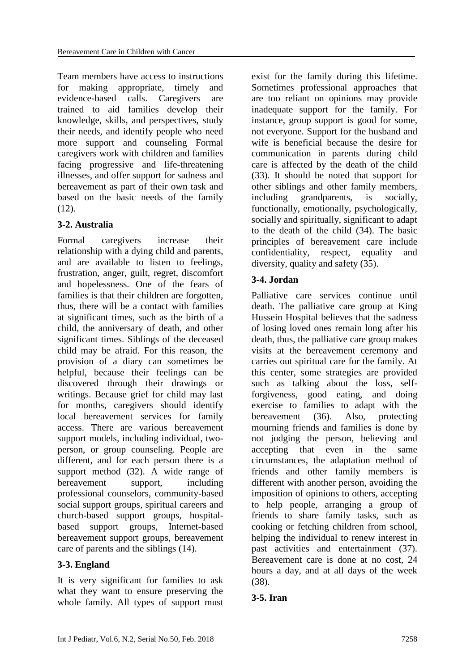Team members have access to instructions for making appropriate, timely and evidence-based calls. Caregivers are trained to aid families develop their knowledge, skills, and perspectives, study their needs, and identify people who need more support and counseling Formal caregivers work with children and families facing progressive and life-threatening illnesses, and offer support for sadness and bereavement as part of their own task and based on the basic needs of the family  $(12)$ .

# **3-2. Australia**

Formal caregivers increase their relationship with a dying child and parents, and are available to listen to feelings, frustration, anger, guilt, regret, discomfort and hopelessness. One of the fears of families is that their children are forgotten, thus, there will be a contact with families at significant times, such as the birth of a child, the anniversary of death, and other significant times. Siblings of the deceased child may be afraid. For this reason, the provision of a diary can sometimes be helpful, because their feelings can be discovered through their drawings or writings. Because grief for child may last for months, caregivers should identify local bereavement services for family access. There are various bereavement support models, including individual, twoperson, or group counseling. People are different, and for each person there is a support method (32). A wide range of bereavement support, including professional counselors, community-based social support groups, spiritual careers and church-based support groups, hospitalbased support groups, Internet-based bereavement support groups, bereavement care of parents and the siblings (14).

# **3-3. England**

It is very significant for families to ask what they want to ensure preserving the whole family. All types of support must exist for the family during this lifetime. Sometimes professional approaches that are too reliant on opinions may provide inadequate support for the family. For instance, group support is good for some, not everyone. Support for the husband and wife is beneficial because the desire for communication in parents during child care is affected by the death of the child (33). It should be noted that support for other siblings and other family members, including grandparents, is socially, functionally, emotionally, psychologically, socially and spiritually, significant to adapt to the death of the child (34). The basic principles of bereavement care include confidentiality, respect, equality and diversity, quality and safety (35).

# **3-4. Jordan**

Palliative care services continue until death. The palliative care group at King Hussein Hospital believes that the sadness of losing loved ones remain long after his death, thus, the palliative care group makes visits at the bereavement ceremony and carries out spiritual care for the family. At this center, some strategies are provided such as talking about the loss, selfforgiveness, good eating, and doing exercise to families to adapt with the bereavement (36). Also, protecting mourning friends and families is done by not judging the person, believing and accepting that even in the same circumstances, the adaptation method of friends and other family members is different with another person, avoiding the imposition of opinions to others, accepting to help people, arranging a group of friends to share family tasks, such as cooking or fetching children from school, helping the individual to renew interest in past activities and entertainment (37). Bereavement care is done at no cost, 24 hours a day, and at all days of the week (38).

# **3-5. Iran**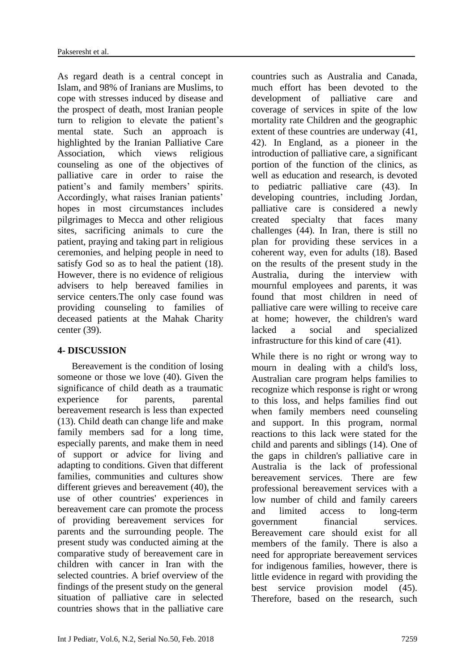As regard death is a central concept in Islam, and 98% of Iranians are Muslims, to cope with stresses induced by disease and the prospect of death, most Iranian people turn to religion to elevate the patient's mental state. Such an approach is highlighted by the Iranian Palliative Care Association, which views religious counseling as one of the objectives of palliative care in order to raise the patient's and family members' spirits. Accordingly, what raises Iranian patients' hopes in most circumstances includes pilgrimages to Mecca and other religious sites, sacrificing animals to cure the patient, praying and taking part in religious ceremonies, and helping people in need to satisfy God so as to heal the patient (18). However, there is no evidence of religious advisers to help bereaved families in service centers.The only case found was providing counseling to families of deceased patients at the Mahak Charity center (39).

### **4- DISCUSSION**

 Bereavement is the condition of losing someone or those we love (40). Given the significance of child death as a traumatic experience for parents, parental bereavement research is less than expected (13). Child death can change life and make family members sad for a long time, especially parents, and make them in need of support or advice for living and adapting to conditions. Given that different families, communities and cultures show different grieves and bereavement (40), the use of other countries' experiences in bereavement care can promote the process of providing bereavement services for parents and the surrounding people. The present study was conducted aiming at the comparative study of bereavement care in children with cancer in Iran with the selected countries. A brief overview of the findings of the present study on the general situation of palliative care in selected countries shows that in the palliative care

countries such as Australia and Canada, much effort has been devoted to the development of palliative care and coverage of services in spite of the low mortality rate Children and the geographic extent of these countries are underway (41, 42). In England, as a pioneer in the introduction of palliative care, a significant portion of the function of the clinics, as well as education and research, is devoted to pediatric palliative care (43). In developing countries, including Jordan, palliative care is considered a newly created specialty that faces many challenges (44). In Iran, there is still no plan for providing these services in a coherent way, even for adults (18). Based on the results of the present study in the Australia, during the interview with mournful employees and parents, it was found that most children in need of palliative care were willing to receive care at home; however, the children's ward lacked a social and specialized infrastructure for this kind of care (41).

While there is no right or wrong way to mourn in dealing with a child's loss, Australian care program helps families to recognize which response is right or wrong to this loss, and helps families find out when family members need counseling and support. In this program, normal reactions to this lack were stated for the child and parents and siblings (14). One of the gaps in children's palliative care in Australia is the lack of professional bereavement services. There are few professional bereavement services with a low number of child and family careers and limited access to long-term government financial services. Bereavement care should exist for all members of the family. There is also a need for appropriate bereavement services for indigenous families, however, there is little evidence in regard with providing the best service provision model (45). Therefore, based on the research, such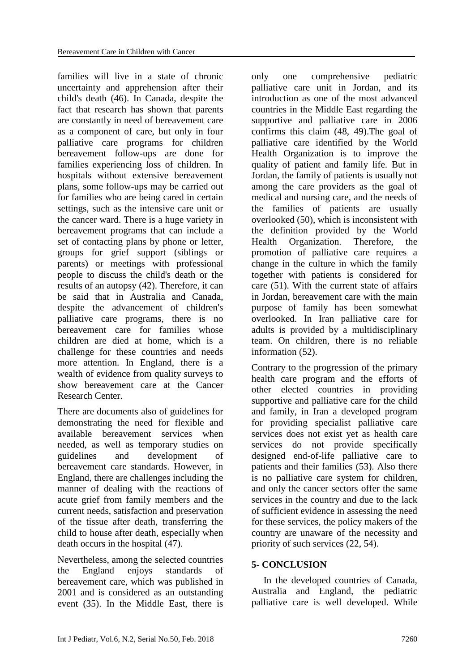families will live in a state of chronic uncertainty and apprehension after their child's death (46). In Canada, despite the fact that research has shown that parents are constantly in need of bereavement care as a component of care, but only in four palliative care programs for children bereavement follow-ups are done for families experiencing loss of children. In hospitals without extensive bereavement plans, some follow-ups may be carried out for families who are being cared in certain settings, such as the intensive care unit or the cancer ward. There is a huge variety in bereavement programs that can include a set of contacting plans by phone or letter, groups for grief support (siblings or parents) or meetings with professional people to discuss the child's death or the results of an autopsy (42). Therefore, it can be said that in Australia and Canada, despite the advancement of children's palliative care programs, there is no bereavement care for families whose children are died at home, which is a challenge for these countries and needs more attention. In England, there is a wealth of evidence from quality surveys to show bereavement care at the Cancer Research Center.

There are documents also of guidelines for demonstrating the need for flexible and available bereavement services when needed, as well as temporary studies on guidelines and development of bereavement care standards. However, in England, there are challenges including the manner of dealing with the reactions of acute grief from family members and the current needs, satisfaction and preservation of the tissue after death, transferring the child to house after death, especially when death occurs in the hospital (47).

Nevertheless, among the selected countries the England enjoys standards of bereavement care, which was published in 2001 and is considered as an outstanding event (35). In the Middle East, there is

only one comprehensive pediatric palliative care unit in Jordan, and its introduction as one of the most advanced countries in the Middle East regarding the supportive and palliative care in 2006 confirms this claim (48, 49).The goal of palliative care identified by the World Health Organization is to improve the quality of patient and family life. But in Jordan, the family of patients is usually not among the care providers as the goal of medical and nursing care, and the needs of the families of patients are usually overlooked (50), which is inconsistent with the definition provided by the World Health Organization. Therefore, the promotion of palliative care requires a change in the culture in which the family together with patients is considered for care (51). With the current state of affairs in Jordan, bereavement care with the main purpose of family has been somewhat overlooked. In Iran palliative care for adults is provided by a multidisciplinary team. On children, there is no reliable information (52).

Contrary to the progression of the primary health care program and the efforts of other elected countries in providing supportive and palliative care for the child and family, in Iran a developed program for providing specialist palliative care services does not exist yet as health care services do not provide specifically designed end-of-life palliative care to patients and their families (53). Also there is no palliative care system for children, and only the cancer sectors offer the same services in the country and due to the lack of sufficient evidence in assessing the need for these services, the policy makers of the country are unaware of the necessity and priority of such services (22, 54).

# **5- CONCLUSION**

 In the developed countries of Canada, Australia and England, the pediatric palliative care is well developed. While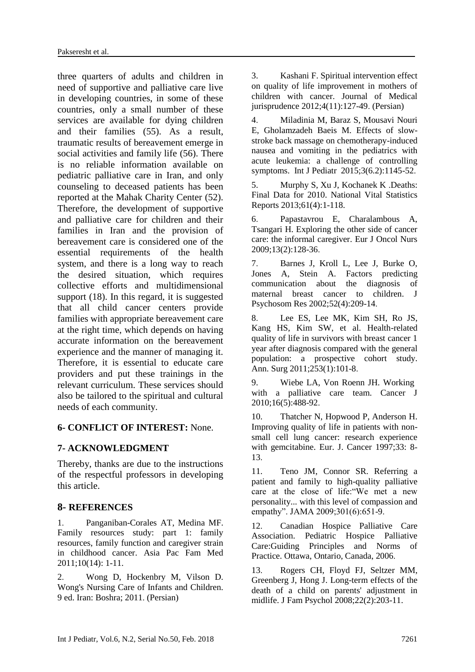three quarters of adults and children in need of supportive and palliative care live in developing countries, in some of these countries, only a small number of these services are available for dying children and their families (55). As a result, traumatic results of bereavement emerge in social activities and family life (56). There is no reliable information available on pediatric palliative care in Iran, and only counseling to deceased patients has been reported at the Mahak Charity Center (52). Therefore, the development of supportive and palliative care for children and their families in Iran and the provision of bereavement care is considered one of the essential requirements of the health system, and there is a long way to reach the desired situation, which requires collective efforts and multidimensional support (18). In this regard, it is suggested that all child cancer centers provide families with appropriate bereavement care at the right time, which depends on having accurate information on the bereavement experience and the manner of managing it. Therefore, it is essential to educate care providers and put these trainings in the relevant curriculum. These services should also be tailored to the spiritual and cultural needs of each community.

### **6- CONFLICT OF INTEREST:** None.

# **7- ACKNOWLEDGMENT**

Thereby, thanks are due to the instructions of the respectful professors in developing this article.

### **8- REFERENCES**

1. Panganiban-Corales AT, Medina MF. Family resources study: part 1: family resources, family function and caregiver strain in childhood cancer. Asia Pac Fam Med 2011;10(14): 1-11.

2. Wong D, Hockenbry M, Vilson D. Wong's Nursing Care of Infants and Children. 9 ed. Iran: Boshra; 2011. (Persian)

3. Kashani F. Spiritual intervention effect on quality of life improvement in mothers of children with cancer. Journal of Medical jurisprudence 2012;4(11):127-49. (Persian)

4. Miladinia M, Baraz S, Mousavi Nouri E, Gholamzadeh Baeis M. Effects of slowstroke back massage on chemotherapy-induced nausea and vomiting in the pediatrics with acute leukemia: a challenge of controlling symptoms. Int J Pediatr 2015;3(6.2):1145-52.

5. Murphy S, Xu J, Kochanek K .Deaths: Final Data for 2010. National Vital Statistics Reports 2013;61(4):1-118.

6. Papastavrou E, Charalambous A, Tsangari H. Exploring the other side of cancer care: the informal caregiver. Eur J Oncol Nurs 2009;13(2):128-36.

7. Barnes J, Kroll L, Lee J, Burke O, Jones A, Stein A. Factors predicting communication about the diagnosis of maternal breast cancer to children. J Psychosom Res 2002;52(4):209-14.

8. Lee ES, Lee MK, Kim SH, Ro JS, Kang HS, Kim SW, et al. Health-related quality of life in survivors with breast cancer 1 year after diagnosis compared with the general population: a prospective cohort study. Ann. Surg 2011;253(1):101-8.

9. Wiebe LA, Von Roenn JH. Working with a palliative care team. Cancer J 2010;16(5):488-92.

10. Thatcher N, Hopwood P, Anderson H. Improving quality of life in patients with nonsmall cell lung cancer: research experience with gemcitabine. Eur. J. Cancer 1997;33: 8- 13.

11. Teno JM, Connor SR. Referring a patient and family to high-quality palliative care at the close of life:"We met a new personality... with this level of compassion and empathy". JAMA 2009;301(6):651-9.

12. Canadian Hospice Palliative Care Association. Pediatric Hospice Palliative Care:Guiding Principles and Norms of Practice. Ottawa, Ontario, Canada, 2006.

13. Rogers CH, Floyd FJ, Seltzer MM, Greenberg J, Hong J. Long-term effects of the death of a child on parents' adjustment in midlife. J Fam Psychol 2008;22(2):203-11.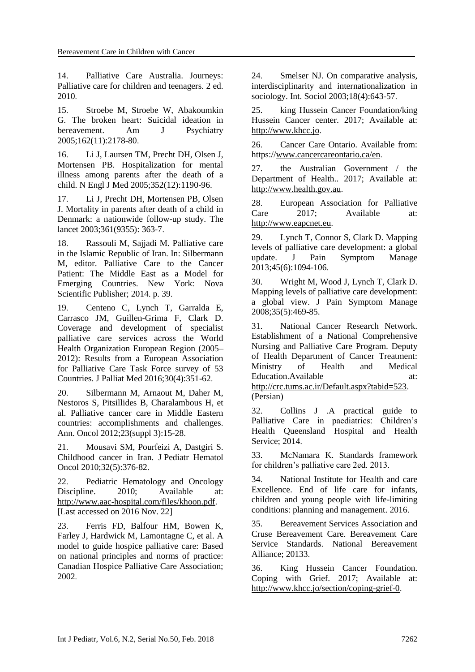14. Palliative Care Australia. Journeys: Palliative care for children and teenagers. 2 ed. 2010.

15. Stroebe M, Stroebe W, Abakoumkin G. The broken heart: Suicidal ideation in bereavement. Am J Psychiatry 2005;162(11):2178-80.

16. Li J, Laursen TM, Precht DH, Olsen J, Mortensen PB. Hospitalization for mental illness among parents after the death of a child. N Engl J Med 2005;352(12):1190-96.

17. Li J, Precht DH, Mortensen PB, Olsen J. Mortality in parents after death of a child in Denmark: a nationwide follow-up study. The lancet 2003;361(9355): 363-7.

18. Rassouli M, Sajjadi M. Palliative care in the Islamic Republic of Iran. In: Silbermann M, editor. Palliative Care to the Cancer Patient: The Middle East as a Model for Emerging Countries. New York: Nova Scientific Publisher; 2014. p. 39.

19. Centeno C, Lynch T, Garralda E, Carrasco JM, Guillen-Grima F, Clark D. Coverage and development of specialist palliative care services across the World Health Organization European Region (2005– 2012): Results from a European Association for Palliative Care Task Force survey of 53 Countries. J Palliat Med 2016;30(4):351-62.

20. Silbermann M, Arnaout M, Daher M, Nestoros S, Pitsillides B, Charalambous H, et al. Palliative cancer care in Middle Eastern countries: accomplishments and challenges. Ann. Oncol 2012;23(suppl 3):15-28.

21. Mousavi SM, Pourfeizi A, Dastgiri S. Childhood cancer in Iran. J Pediatr Hematol Oncol 2010;32(5):376-82.

22. Pediatric Hematology and Oncology Discipline. 2010: Available at: http://www.aac-hospital.com/files/khoon.pdf. [Last accessed on 2016 Nov. 22]

23. Ferris FD, Balfour HM, Bowen K, Farley J, Hardwick M, Lamontagne C, et al. A model to guide hospice palliative care: Based on national principles and norms of practice: Canadian Hospice Palliative Care Association; 2002.

24. Smelser NJ. On comparative analysis, interdisciplinarity and internationalization in sociology. Int. Sociol 2003;18(4):643-57.

25. king Hussein Cancer Foundation/king Hussein Cancer center. 2017; Available at: http://www.khcc.jo.

26. Cancer Care Ontario. Available from: https://www.cancercareontario.ca/en.

27. the Australian Government / the Department of Health.. 2017; Available at: http://www.health.gov.au.

28. European Association for Palliative Care 2017; Available at: http://www.eapcnet.eu.

29. Lynch T, Connor S, Clark D. Mapping levels of palliative care development: a global update. J Pain Symptom Manage 2013;45(6):1094-106.

30. Wright M, Wood J, Lynch T, Clark D. Mapping levels of palliative care development: a global view. J Pain Symptom Manage 2008;35(5):469-85.

31. National Cancer Research Network. Establishment of a National Comprehensive Nursing and Palliative Care Program. Deputy of Health Department of Cancer Treatment: Ministry of Health and Medical Education.Available at: at: http://crc.tums.ac.ir/Default.aspx?tabid=523.

(Persian)

32. Collins J .A practical guide to Palliative Care in paediatrics: Children's Health Queensland Hospital and Health Service; 2014.

33. McNamara K. Standards framework for children's palliative care 2ed. 2013.

34. National Institute for Health and care Excellence. End of life care for infants, children and young people with life-limiting conditions: planning and management. 2016.

35. Bereavement Services Association and Cruse Bereavement Care. Bereavement Care Service Standards. National Bereavement Alliance; 20133.

36. King Hussein Cancer Foundation. Coping with Grief. 2017; Available at: http://www.khcc.jo/section/coping-grief-0.